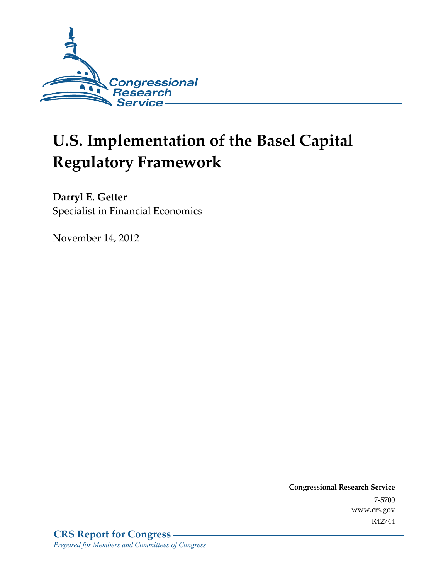

# **U.S. Implementation of the Basel Capital Regulatory Framework**

**Darryl E. Getter**  Specialist in Financial Economics

November 14, 2012

**Congressional Research Service**  7-5700 www.crs.gov R42744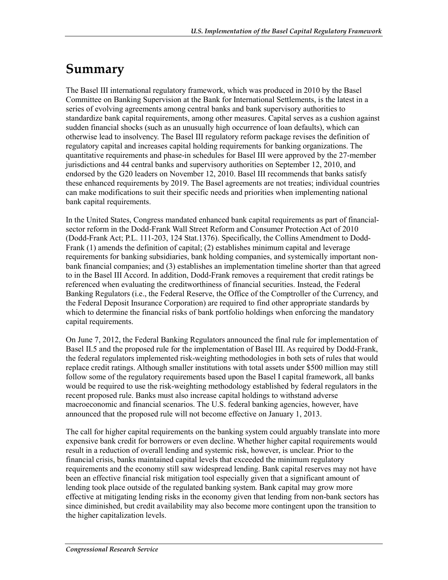### **Summary**

The Basel III international regulatory framework, which was produced in 2010 by the Basel Committee on Banking Supervision at the Bank for International Settlements, is the latest in a series of evolving agreements among central banks and bank supervisory authorities to standardize bank capital requirements, among other measures. Capital serves as a cushion against sudden financial shocks (such as an unusually high occurrence of loan defaults), which can otherwise lead to insolvency. The Basel III regulatory reform package revises the definition of regulatory capital and increases capital holding requirements for banking organizations. The quantitative requirements and phase-in schedules for Basel III were approved by the 27-member jurisdictions and 44 central banks and supervisory authorities on September 12, 2010, and endorsed by the G20 leaders on November 12, 2010. Basel III recommends that banks satisfy these enhanced requirements by 2019. The Basel agreements are not treaties; individual countries can make modifications to suit their specific needs and priorities when implementing national bank capital requirements.

In the United States, Congress mandated enhanced bank capital requirements as part of financialsector reform in the Dodd-Frank Wall Street Reform and Consumer Protection Act of 2010 (Dodd-Frank Act; P.L. 111-203, 124 Stat.1376). Specifically, the Collins Amendment to Dodd-Frank (1) amends the definition of capital; (2) establishes minimum capital and leverage requirements for banking subsidiaries, bank holding companies, and systemically important nonbank financial companies; and (3) establishes an implementation timeline shorter than that agreed to in the Basel III Accord. In addition, Dodd-Frank removes a requirement that credit ratings be referenced when evaluating the creditworthiness of financial securities. Instead, the Federal Banking Regulators (i.e., the Federal Reserve, the Office of the Comptroller of the Currency, and the Federal Deposit Insurance Corporation) are required to find other appropriate standards by which to determine the financial risks of bank portfolio holdings when enforcing the mandatory capital requirements.

On June 7, 2012, the Federal Banking Regulators announced the final rule for implementation of Basel II.5 and the proposed rule for the implementation of Basel III. As required by Dodd-Frank, the federal regulators implemented risk-weighting methodologies in both sets of rules that would replace credit ratings. Although smaller institutions with total assets under \$500 million may still follow some of the regulatory requirements based upon the Basel I capital framework, all banks would be required to use the risk-weighting methodology established by federal regulators in the recent proposed rule. Banks must also increase capital holdings to withstand adverse macroeconomic and financial scenarios. The U.S. federal banking agencies, however, have announced that the proposed rule will not become effective on January 1, 2013.

The call for higher capital requirements on the banking system could arguably translate into more expensive bank credit for borrowers or even decline. Whether higher capital requirements would result in a reduction of overall lending and systemic risk, however, is unclear. Prior to the financial crisis, banks maintained capital levels that exceeded the minimum regulatory requirements and the economy still saw widespread lending. Bank capital reserves may not have been an effective financial risk mitigation tool especially given that a significant amount of lending took place outside of the regulated banking system. Bank capital may grow more effective at mitigating lending risks in the economy given that lending from non-bank sectors has since diminished, but credit availability may also become more contingent upon the transition to the higher capitalization levels.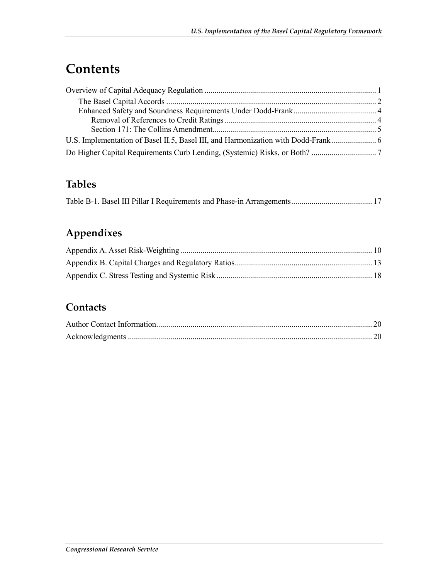## **Contents**

### **Tables**

|--|--|

### **Appendixes**

### **Contacts**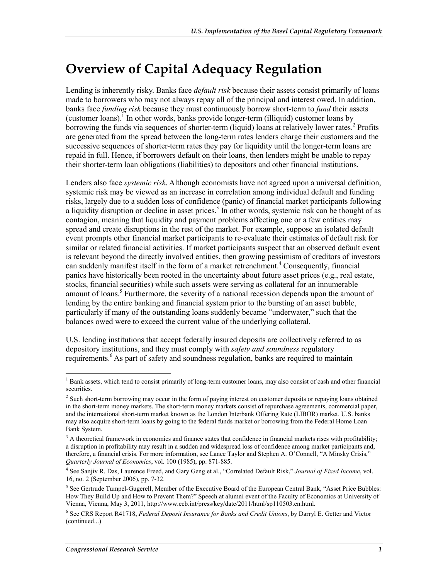### **Overview of Capital Adequacy Regulation**

Lending is inherently risky. Banks face *default risk* because their assets consist primarily of loans made to borrowers who may not always repay all of the principal and interest owed. In addition, banks face *funding risk* because they must continuously borrow short-term to *fund* their assets (customer loans). In other words, banks provide longer-term (illiquid) customer loans by borrowing the funds via sequences of shorter-term (liquid) loans at relatively lower rates.<sup>2</sup> Profits are generated from the spread between the long-term rates lenders charge their customers and the successive sequences of shorter-term rates they pay for liquidity until the longer-term loans are repaid in full. Hence, if borrowers default on their loans, then lenders might be unable to repay their shorter-term loan obligations (liabilities) to depositors and other financial institutions.

Lenders also face *systemic risk*. Although economists have not agreed upon a universal definition, systemic risk may be viewed as an increase in correlation among individual default and funding risks, largely due to a sudden loss of confidence (panic) of financial market participants following a liquidity disruption or decline in asset prices.<sup>3</sup> In other words, systemic risk can be thought of as contagion, meaning that liquidity and payment problems affecting one or a few entities may spread and create disruptions in the rest of the market. For example, suppose an isolated default event prompts other financial market participants to re-evaluate their estimates of default risk for similar or related financial activities. If market participants suspect that an observed default event is relevant beyond the directly involved entities, then growing pessimism of creditors of investors can suddenly manifest itself in the form of a market retrenchment.<sup>4</sup> Consequently, financial panics have historically been rooted in the uncertainty about future asset prices (e.g., real estate, stocks, financial securities) while such assets were serving as collateral for an innumerable amount of loans.<sup>5</sup> Furthermore, the severity of a national recession depends upon the amount of lending by the entire banking and financial system prior to the bursting of an asset bubble, particularly if many of the outstanding loans suddenly became "underwater," such that the balances owed were to exceed the current value of the underlying collateral.

U.S. lending institutions that accept federally insured deposits are collectively referred to as depository institutions, and they must comply with *safety and soundness* regulatory requirements.<sup>6</sup> As part of safety and soundness regulation, banks are required to maintain

<sup>&</sup>lt;sup>1</sup> Bank assets, which tend to consist primarily of long-term customer loans, may also consist of cash and other financial securities.

<sup>&</sup>lt;sup>2</sup> Such short-term borrowing may occur in the form of paying interest on customer deposits or repaying loans obtained in the short-term money markets. The short-term money markets consist of repurchase agreements, commercial paper, and the international short-term market known as the London Interbank Offering Rate (LIBOR) market. U.S. banks may also acquire short-term loans by going to the federal funds market or borrowing from the Federal Home Loan Bank System.

<sup>&</sup>lt;sup>3</sup> A theoretical framework in economics and finance states that confidence in financial markets rises with profitability; a disruption in profitability may result in a sudden and widespread loss of confidence among market participants and, therefore, a financial crisis. For more information, see Lance Taylor and Stephen A. O'Connell, "A Minsky Crisis," *Quarterly Journal of Economics*, vol. 100 (1985), pp. 871-885.

<sup>4</sup> See Sanjiv R. Das, Laurence Freed, and Gary Geng et al., "Correlated Default Risk," *Journal of Fixed Income*, vol. 16, no. 2 (September 2006), pp. 7-32.

<sup>&</sup>lt;sup>5</sup> See Gertrude Tumpel-Gugerell, Member of the Executive Board of the European Central Bank, "Asset Price Bubbles: How They Build Up and How to Prevent Them?" Speech at alumni event of the Faculty of Economics at University of Vienna, Vienna, May 3, 2011, http://www.ecb.int/press/key/date/2011/html/sp110503.en.html.

<sup>6</sup> See CRS Report R41718, *Federal Deposit Insurance for Banks and Credit Unions*, by Darryl E. Getter and Victor (continued...)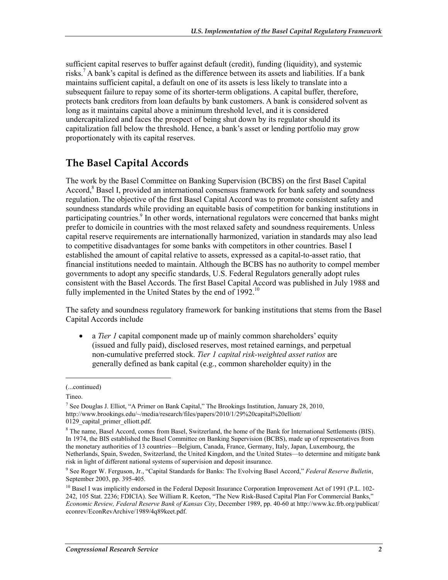sufficient capital reserves to buffer against default (credit), funding (liquidity), and systemic risks.7 A bank's capital is defined as the difference between its assets and liabilities. If a bank maintains sufficient capital, a default on one of its assets is less likely to translate into a subsequent failure to repay some of its shorter-term obligations. A capital buffer, therefore, protects bank creditors from loan defaults by bank customers. A bank is considered solvent as long as it maintains capital above a minimum threshold level, and it is considered undercapitalized and faces the prospect of being shut down by its regulator should its capitalization fall below the threshold. Hence, a bank's asset or lending portfolio may grow proportionately with its capital reserves.

#### **The Basel Capital Accords**

The work by the Basel Committee on Banking Supervision (BCBS) on the first Basel Capital Accord,<sup>8</sup> Basel I, provided an international consensus framework for bank safety and soundness regulation. The objective of the first Basel Capital Accord was to promote consistent safety and soundness standards while providing an equitable basis of competition for banking institutions in participating countries.<sup>9</sup> In other words, international regulators were concerned that banks might prefer to domicile in countries with the most relaxed safety and soundness requirements. Unless capital reserve requirements are internationally harmonized, variation in standards may also lead to competitive disadvantages for some banks with competitors in other countries. Basel I established the amount of capital relative to assets, expressed as a capital-to-asset ratio, that financial institutions needed to maintain. Although the BCBS has no authority to compel member governments to adopt any specific standards, U.S. Federal Regulators generally adopt rules consistent with the Basel Accords. The first Basel Capital Accord was published in July 1988 and fully implemented in the United States by the end of 1992.<sup>10</sup>

The safety and soundness regulatory framework for banking institutions that stems from the Basel Capital Accords include

• a *Tier 1* capital component made up of mainly common shareholders' equity (issued and fully paid), disclosed reserves, most retained earnings, and perpetual non-cumulative preferred stock. *Tier 1 capital risk-weighted asset ratios* are generally defined as bank capital (e.g., common shareholder equity) in the

 $\overline{a}$ 

<sup>(...</sup>continued)

Tineo.

<sup>&</sup>lt;sup>7</sup> See Douglas J. Elliot, "A Primer on Bank Capital," The Brookings Institution, January 28, 2010, http://www.brookings.edu/~/media/research/files/papers/2010/1/29%20capital%20elliott/ 0129 capital primer elliott.pdf.

<sup>&</sup>lt;sup>8</sup> The name, Basel Accord, comes from Basel, Switzerland, the home of the Bank for International Settlements (BIS). In 1974, the BIS established the Basel Committee on Banking Supervision (BCBS), made up of representatives from the monetary authorities of 13 countries—Belgium, Canada, France, Germany, Italy, Japan, Luxembourg, the Netherlands, Spain, Sweden, Switzerland, the United Kingdom, and the United States—to determine and mitigate bank risk in light of different national systems of supervision and deposit insurance.

<sup>9</sup> See Roger W. Ferguson, Jr., "Capital Standards for Banks: The Evolving Basel Accord," *Federal Reserve Bulletin*, September 2003, pp. 395-405.

<sup>&</sup>lt;sup>10</sup> Basel I was implicitly endorsed in the Federal Deposit Insurance Corporation Improvement Act of 1991 (P.L. 102-242, 105 Stat. 2236; FDICIA). See William R. Keeton, "The New Risk-Based Capital Plan For Commercial Banks," *Economic Review, Federal Reserve Bank of Kansas City*, December 1989, pp. 40-60 at http://www.kc.frb.org/publicat/ econrev/EconRevArchive/1989/4q89keet.pdf.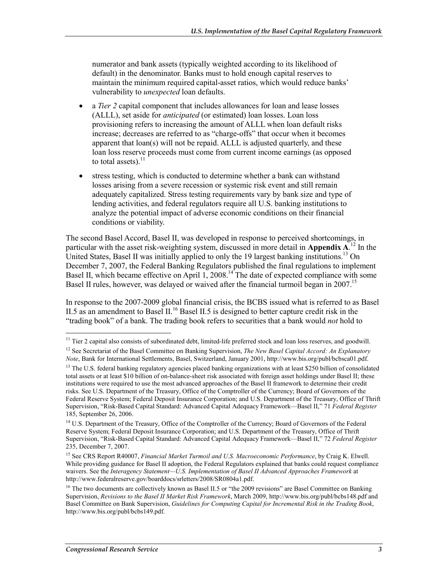numerator and bank assets (typically weighted according to its likelihood of default) in the denominator. Banks must to hold enough capital reserves to maintain the minimum required capital-asset ratios, which would reduce banks' vulnerability to *unexpected* loan defaults.

- a *Tier 2* capital component that includes allowances for loan and lease losses (ALLL), set aside for *anticipated* (or estimated) loan losses. Loan loss provisioning refers to increasing the amount of ALLL when loan default risks increase; decreases are referred to as "charge-offs" that occur when it becomes apparent that loan(s) will not be repaid. ALLL is adjusted quarterly, and these loan loss reserve proceeds must come from current income earnings (as opposed to total assets). $^{11}$
- stress testing, which is conducted to determine whether a bank can withstand losses arising from a severe recession or systemic risk event and still remain adequately capitalized. Stress testing requirements vary by bank size and type of lending activities, and federal regulators require all U.S. banking institutions to analyze the potential impact of adverse economic conditions on their financial conditions or viability.

The second Basel Accord, Basel II, was developed in response to perceived shortcomings, in particular with the asset risk-weighting system, discussed in more detail in **Appendix A**. 12 In the United States, Basel II was initially applied to only the 19 largest banking institutions.<sup>13</sup> On December 7, 2007, the Federal Banking Regulators published the final regulations to implement Basel II, which became effective on April 1, 2008.<sup>14</sup> The date of expected compliance with some Basel II rules, however, was delayed or waived after the financial turmoil began in 2007.<sup>15</sup>

In response to the 2007-2009 global financial crisis, the BCBS issued what is referred to as Basel II.5 as an amendment to Basel II.<sup>16</sup> Basel II.5 is designed to better capture credit risk in the "trading book" of a bank. The trading book refers to securities that a bank would *not* hold to

<sup>1</sup>  $11$  Tier 2 capital also consists of subordinated debt, limited-life preferred stock and loan loss reserves, and goodwill.

<sup>12</sup> See Secretariat of the Basel Committee on Banking Supervision, *The New Basel Capital Accord: An Explanatory Note*, Bank for International Settlements, Basel, Switzerland, January 2001, http://www.bis.org/publ/bcbsca01.pdf.

<sup>&</sup>lt;sup>13</sup> The U.S. federal banking regulatory agencies placed banking organizations with at least \$250 billion of consolidated total assets or at least \$10 billion of on-balance-sheet risk associated with foreign asset holdings under Basel II; these institutions were required to use the most advanced approaches of the Basel II framework to determine their credit risks. See U.S. Department of the Treasury, Office of the Comptroller of the Currency; Board of Governors of the Federal Reserve System; Federal Deposit Insurance Corporation; and U.S. Department of the Treasury, Office of Thrift Supervision, "Risk-Based Capital Standard: Advanced Capital Adequacy Framework—Basel II," 71 *Federal Register* 185, September 26, 2006.

<sup>&</sup>lt;sup>14</sup> U.S. Department of the Treasury, Office of the Comptroller of the Currency; Board of Governors of the Federal Reserve System; Federal Deposit Insurance Corporation; and U.S. Department of the Treasury, Office of Thrift Supervision, "Risk-Based Capital Standard: Advanced Capital Adequacy Framework—Basel II," 72 *Federal Register* 235, December 7, 2007.

<sup>15</sup> See CRS Report R40007, *Financial Market Turmoil and U.S. Macroeconomic Performance*, by Craig K. Elwell. While providing guidance for Basel II adoption, the Federal Regulators explained that banks could request compliance waivers. See the *Interagency Statement—U.S. Implementation of Basel II Advanced Approaches Framework* at http://www.federalreserve.gov/boarddocs/srletters/2008/SR0804a1.pdf.

<sup>&</sup>lt;sup>16</sup> The two documents are collectively known as Basel II.5 or "the 2009 revisions" are Basel Committee on Banking Supervision, *Revisions to the Basel II Market Risk Framework*, March 2009, http://www.bis.org/publ/bcbs148.pdf and Basel Committee on Bank Supervision, *Guidelines for Computing Capital for Incremental Risk in the Trading Book*, http://www.bis.org/publ/bcbs149.pdf.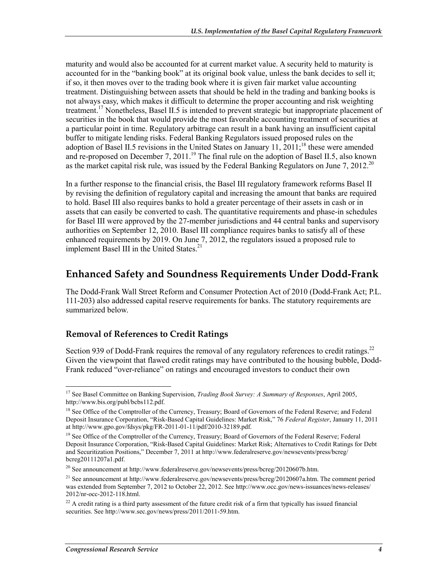maturity and would also be accounted for at current market value. A security held to maturity is accounted for in the "banking book" at its original book value, unless the bank decides to sell it; if so, it then moves over to the trading book where it is given fair market value accounting treatment. Distinguishing between assets that should be held in the trading and banking books is not always easy, which makes it difficult to determine the proper accounting and risk weighting treatment.<sup>17</sup> Nonetheless, Basel II.5 is intended to prevent strategic but inappropriate placement of securities in the book that would provide the most favorable accounting treatment of securities at a particular point in time. Regulatory arbitrage can result in a bank having an insufficient capital buffer to mitigate lending risks. Federal Banking Regulators issued proposed rules on the adoption of Basel II.5 revisions in the United States on January 11,  $2011$ ;<sup>18</sup> these were amended and re-proposed on December 7, 2011.<sup>19</sup> The final rule on the adoption of Basel II.5, also known as the market capital risk rule, was issued by the Federal Banking Regulators on June 7, 2012.<sup>20</sup>

In a further response to the financial crisis, the Basel III regulatory framework reforms Basel II by revising the definition of regulatory capital and increasing the amount that banks are required to hold. Basel III also requires banks to hold a greater percentage of their assets in cash or in assets that can easily be converted to cash. The quantitative requirements and phase-in schedules for Basel III were approved by the 27-member jurisdictions and 44 central banks and supervisory authorities on September 12, 2010. Basel III compliance requires banks to satisfy all of these enhanced requirements by 2019. On June 7, 2012, the regulators issued a proposed rule to implement Basel III in the United States.<sup>21</sup>

#### **Enhanced Safety and Soundness Requirements Under Dodd-Frank**

The Dodd-Frank Wall Street Reform and Consumer Protection Act of 2010 (Dodd-Frank Act; P.L. 111-203) also addressed capital reserve requirements for banks. The statutory requirements are summarized below.

#### **Removal of References to Credit Ratings**

Section 939 of Dodd-Frank requires the removal of any regulatory references to credit ratings.<sup>22</sup> Given the viewpoint that flawed credit ratings may have contributed to the housing bubble, Dodd-Frank reduced "over-reliance" on ratings and encouraged investors to conduct their own

<sup>1</sup> 17 See Basel Committee on Banking Supervision, *Trading Book Survey: A Summary of Responses*, April 2005, http://www.bis.org/publ/bcbs112.pdf.

<sup>&</sup>lt;sup>18</sup> See Office of the Comptroller of the Currency, Treasury; Board of Governors of the Federal Reserve; and Federal Deposit Insurance Corporation, "Risk-Based Capital Guidelines: Market Risk," 76 *Federal Register*, January 11, 2011 at http://www.gpo.gov/fdsys/pkg/FR-2011-01-11/pdf/2010-32189.pdf.

<sup>&</sup>lt;sup>19</sup> See Office of the Comptroller of the Currency, Treasury; Board of Governors of the Federal Reserve; Federal Deposit Insurance Corporation, "Risk-Based Capital Guidelines: Market Risk; Alternatives to Credit Ratings for Debt and Securitization Positions," December 7, 2011 at http://www.federalreserve.gov/newsevents/press/bcreg/ bcreg20111207a1.pdf.

 $^{20}$  See announcement at http://www.federalreserve.gov/newsevents/press/bcreg/20120607b.htm.

<sup>&</sup>lt;sup>21</sup> See announcement at http://www.federalreserve.gov/newsevents/press/bcreg/20120607a.htm. The comment period was extended from September 7, 2012 to October 22, 2012. See http://www.occ.gov/news-issuances/news-releases/ 2012/nr-occ-2012-118.html.

 $22$  A credit rating is a third party assessment of the future credit risk of a firm that typically has issued financial securities. See http://www.sec.gov/news/press/2011/2011-59.htm.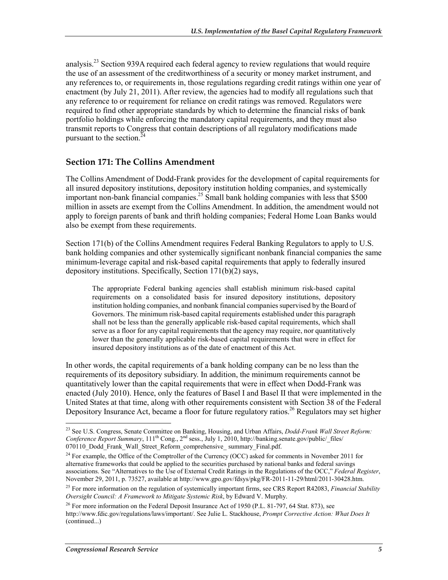analysis.<sup>23</sup> Section 939A required each federal agency to review regulations that would require the use of an assessment of the creditworthiness of a security or money market instrument, and any references to, or requirements in, those regulations regarding credit ratings within one year of enactment (by July 21, 2011). After review, the agencies had to modify all regulations such that any reference to or requirement for reliance on credit ratings was removed. Regulators were required to find other appropriate standards by which to determine the financial risks of bank portfolio holdings while enforcing the mandatory capital requirements, and they must also transmit reports to Congress that contain descriptions of all regulatory modifications made pursuant to the section. $^{24}$ 

#### **Section 171: The Collins Amendment**

The Collins Amendment of Dodd-Frank provides for the development of capital requirements for all insured depository institutions, depository institution holding companies, and systemically important non-bank financial companies.<sup>25</sup> Small bank holding companies with less that  $$500$ million in assets are exempt from the Collins Amendment. In addition, the amendment would not apply to foreign parents of bank and thrift holding companies; Federal Home Loan Banks would also be exempt from these requirements.

Section 171(b) of the Collins Amendment requires Federal Banking Regulators to apply to U.S. bank holding companies and other systemically significant nonbank financial companies the same minimum-leverage capital and risk-based capital requirements that apply to federally insured depository institutions. Specifically, Section 171(b)(2) says,

The appropriate Federal banking agencies shall establish minimum risk-based capital requirements on a consolidated basis for insured depository institutions, depository institution holding companies, and nonbank financial companies supervised by the Board of Governors. The minimum risk-based capital requirements established under this paragraph shall not be less than the generally applicable risk-based capital requirements, which shall serve as a floor for any capital requirements that the agency may require, nor quantitatively lower than the generally applicable risk-based capital requirements that were in effect for insured depository institutions as of the date of enactment of this Act.

In other words, the capital requirements of a bank holding company can be no less than the requirements of its depository subsidiary. In addition, the minimum requirements cannot be quantitatively lower than the capital requirements that were in effect when Dodd-Frank was enacted (July 2010). Hence, only the features of Basel I and Basel II that were implemented in the United States at that time, along with other requirements consistent with Section 38 of the Federal Depository Insurance Act, became a floor for future regulatory ratios.<sup>26</sup> Regulators may set higher

<u>.</u>

<sup>23</sup> See U.S. Congress, Senate Committee on Banking, Housing, and Urban Affairs, *Dodd-Frank Wall Street Reform: Conference Report Summary*, 111<sup>th</sup> Cong., 2<sup>nd</sup> sess., July 1, 2010, http://banking.senate.gov/public/\_files/ 070110\_Dodd\_Frank\_Wall\_Street\_Reform\_comprehensive\_summary\_Final.pdf.

<sup>&</sup>lt;sup>24</sup> For example, the Office of the Comptroller of the Currency (OCC) asked for comments in November 2011 for alternative frameworks that could be applied to the securities purchased by national banks and federal savings associations. See "Alternatives to the Use of External Credit Ratings in the Regulations of the OCC," *Federal Register*, November 29, 2011, p. 73527, available at http://www.gpo.gov/fdsys/pkg/FR-2011-11-29/html/2011-30428.htm.

<sup>25</sup> For more information on the regulation of systemically important firms, see CRS Report R42083, *Financial Stability Oversight Council: A Framework to Mitigate Systemic Risk*, by Edward V. Murphy.

 $^{26}$  For more information on the Federal Deposit Insurance Act of 1950 (P.L. 81-797, 64 Stat. 873), see http://www.fdic.gov/regulations/laws/important/. See Julie L. Stackhouse, *Prompt Corrective Action: What Does It*  (continued...)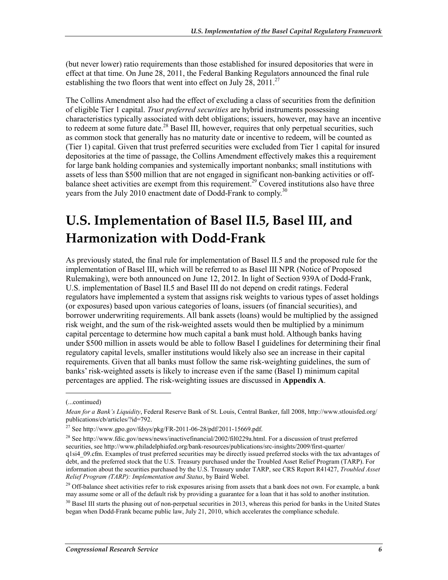(but never lower) ratio requirements than those established for insured depositories that were in effect at that time. On June 28, 2011, the Federal Banking Regulators announced the final rule establishing the two floors that went into effect on July 28,  $2011^{27}$ 

The Collins Amendment also had the effect of excluding a class of securities from the definition of eligible Tier 1 capital. *Trust preferred securities* are hybrid instruments possessing characteristics typically associated with debt obligations; issuers, however, may have an incentive to redeem at some future date.<sup>28</sup> Basel III, however, requires that only perpetual securities, such as common stock that generally has no maturity date or incentive to redeem, will be counted as (Tier 1) capital. Given that trust preferred securities were excluded from Tier 1 capital for insured depositories at the time of passage, the Collins Amendment effectively makes this a requirement for large bank holding companies and systemically important nonbanks; small institutions with assets of less than \$500 million that are not engaged in significant non-banking activities or offbalance sheet activities are exempt from this requirement.<sup>29</sup> Covered institutions also have three years from the July 2010 enactment date of Dodd-Frank to comply.<sup>30</sup>

## **U.S. Implementation of Basel II.5, Basel III, and Harmonization with Dodd-Frank**

As previously stated, the final rule for implementation of Basel II.5 and the proposed rule for the implementation of Basel III, which will be referred to as Basel III NPR (Notice of Proposed Rulemaking), were both announced on June 12, 2012. In light of Section 939A of Dodd-Frank, U.S. implementation of Basel II.5 and Basel III do not depend on credit ratings. Federal regulators have implemented a system that assigns risk weights to various types of asset holdings (or exposures) based upon various categories of loans, issuers (of financial securities), and borrower underwriting requirements. All bank assets (loans) would be multiplied by the assigned risk weight, and the sum of the risk-weighted assets would then be multiplied by a minimum capital percentage to determine how much capital a bank must hold. Although banks having under \$500 million in assets would be able to follow Basel I guidelines for determining their final regulatory capital levels, smaller institutions would likely also see an increase in their capital requirements. Given that all banks must follow the same risk-weighting guidelines, the sum of banks' risk-weighted assets is likely to increase even if the same (Basel I) minimum capital percentages are applied. The risk-weighting issues are discussed in **Appendix A**.

 $\overline{a}$ 

<sup>(...</sup>continued)

*Mean for a Bank's Liquidity*, Federal Reserve Bank of St. Louis, Central Banker, fall 2008, http://www.stlouisfed.org/ publications/cb/articles/?id=792.

 $^{27}$  See http://www.gpo.gov/fdsys/pkg/FR-2011-06-28/pdf/2011-15669.pdf.

<sup>&</sup>lt;sup>28</sup> See http://www.fdic.gov/news/news/inactivefinancial/2002/fil0229a.html. For a discussion of trust preferred securities, see http://www.philadelphiafed.org/bank-resources/publications/src-insights/2009/first-quarter/ q1si4\_09.cfm. Examples of trust preferred securities may be directly issued preferred stocks with the tax advantages of debt, and the preferred stock that the U.S. Treasury purchased under the Troubled Asset Relief Program (TARP). For information about the securities purchased by the U.S. Treasury under TARP, see CRS Report R41427, *Troubled Asset Relief Program (TARP): Implementation and Status*, by Baird Webel.

 $29$  Off-balance sheet activities refer to risk exposures arising from assets that a bank does not own. For example, a bank may assume some or all of the default risk by providing a guarantee for a loan that it has sold to another institution.

 $30$  Basel III starts the phasing out of non-perpetual securities in 2013, whereas this period for banks in the United States began when Dodd-Frank became public law, July 21, 2010, which accelerates the compliance schedule.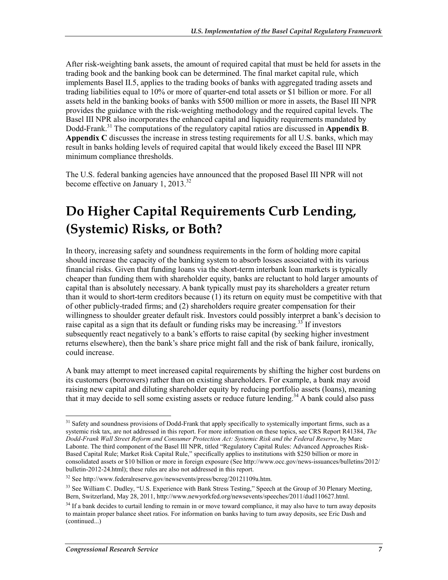After risk-weighting bank assets, the amount of required capital that must be held for assets in the trading book and the banking book can be determined. The final market capital rule, which implements Basel II.5, applies to the trading books of banks with aggregated trading assets and trading liabilities equal to 10% or more of quarter-end total assets or \$1 billion or more. For all assets held in the banking books of banks with \$500 million or more in assets, the Basel III NPR provides the guidance with the risk-weighting methodology and the required capital levels. The Basel III NPR also incorporates the enhanced capital and liquidity requirements mandated by Dodd-Frank.31 The computations of the regulatory capital ratios are discussed in **Appendix B**. **Appendix C** discusses the increase in stress testing requirements for all U.S. banks, which may result in banks holding levels of required capital that would likely exceed the Basel III NPR minimum compliance thresholds.

The U.S. federal banking agencies have announced that the proposed Basel III NPR will not become effective on January 1, 2013.<sup>32</sup>

### **Do Higher Capital Requirements Curb Lending, (Systemic) Risks, or Both?**

In theory, increasing safety and soundness requirements in the form of holding more capital should increase the capacity of the banking system to absorb losses associated with its various financial risks. Given that funding loans via the short-term interbank loan markets is typically cheaper than funding them with shareholder equity, banks are reluctant to hold larger amounts of capital than is absolutely necessary. A bank typically must pay its shareholders a greater return than it would to short-term creditors because (1) its return on equity must be competitive with that of other publicly-traded firms; and (2) shareholders require greater compensation for their willingness to shoulder greater default risk. Investors could possibly interpret a bank's decision to raise capital as a sign that its default or funding risks may be increasing.<sup>35</sup> If investors subsequently react negatively to a bank's efforts to raise capital (by seeking higher investment returns elsewhere), then the bank's share price might fall and the risk of bank failure, ironically, could increase.

A bank may attempt to meet increased capital requirements by shifting the higher cost burdens on its customers (borrowers) rather than on existing shareholders. For example, a bank may avoid raising new capital and diluting shareholder equity by reducing portfolio assets (loans), meaning that it may decide to sell some existing assets or reduce future lending.<sup>34</sup> A bank could also pass

 $31$  Safety and soundness provisions of Dodd-Frank that apply specifically to systemically important firms, such as a systemic risk tax, are not addressed in this report. For more information on these topics, see CRS Report R41384, *The Dodd-Frank Wall Street Reform and Consumer Protection Act: Systemic Risk and the Federal Reserve*, by Marc Labonte. The third component of the Basel III NPR, titled "Regulatory Capital Rules: Advanced Approaches Risk-Based Capital Rule; Market Risk Capital Rule," specifically applies to institutions with \$250 billion or more in consolidated assets or \$10 billion or more in foreign exposure (See http://www.occ.gov/news-issuances/bulletins/2012/ bulletin-2012-24.html); these rules are also not addressed in this report.

<sup>32</sup> See http://www.federalreserve.gov/newsevents/press/bcreg/20121109a.htm.

<sup>&</sup>lt;sup>33</sup> See William C. Dudley, "U.S. Experience with Bank Stress Testing," Speech at the Group of 30 Plenary Meeting, Bern, Switzerland, May 28, 2011, http://www.newyorkfed.org/newsevents/speeches/2011/dud110627.html.

 $34$  If a bank decides to curtail lending to remain in or move toward compliance, it may also have to turn away deposits to maintain proper balance sheet ratios. For information on banks having to turn away deposits, see Eric Dash and (continued...)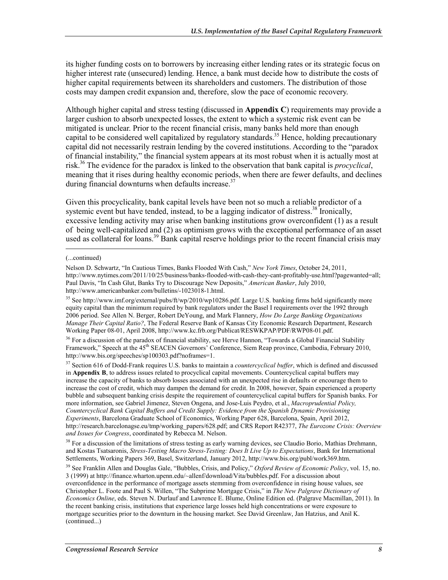its higher funding costs on to borrowers by increasing either lending rates or its strategic focus on higher interest rate (unsecured) lending. Hence, a bank must decide how to distribute the costs of higher capital requirements between its shareholders and customers. The distribution of those costs may dampen credit expansion and, therefore, slow the pace of economic recovery.

Although higher capital and stress testing (discussed in **Appendix C**) requirements may provide a larger cushion to absorb unexpected losses, the extent to which a systemic risk event can be mitigated is unclear. Prior to the recent financial crisis, many banks held more than enough capital to be considered well capitalized by regulatory standards.<sup>35</sup> Hence, holding precautionary capital did not necessarily restrain lending by the covered institutions. According to the "paradox of financial instability," the financial system appears at its most robust when it is actually most at risk.36 The evidence for the paradox is linked to the observation that bank capital is *procyclical*, meaning that it rises during healthy economic periods, when there are fewer defaults, and declines during financial downturns when defaults increase. $37$ 

Given this procyclicality, bank capital levels have been not so much a reliable predictor of a systemic event but have tended, instead, to be a lagging indicator of distress.<sup>38</sup> Ironically, excessive lending activity may arise when banking institutions grow overconfident (1) as a result of being well-capitalized and (2) as optimism grows with the exceptional performance of an asset used as collateral for loans.<sup>39</sup> Bank capital reserve holdings prior to the recent financial crisis may

 $\overline{a}$ 

37 Section 616 of Dodd-Frank requires U.S. banks to maintain a *countercyclical buffer*, which is defined and discussed in **Appendix B**, to address issues related to procyclical capital movements. Countercyclical capital buffers may increase the capacity of banks to absorb losses associated with an unexpected rise in defaults or encourage them to increase the cost of credit, which may dampen the demand for credit. In 2008, however, Spain experienced a property bubble and subsequent banking crisis despite the requirement of countercyclical capital buffers for Spanish banks. For more information, see Gabriel Jimenez, Steven Ongena, and Jose-Luis Peydro, et al., *Macroprudential Policy, Countercyclical Bank Capital Buffers and Credit Supply: Evidence from the Spanish Dynamic Provisioning Experiments*, Barcelona Graduate School of Economics, Working Paper 628, Barcelona, Spain, April 2012, http://research.barcelonagse.eu/tmp/working\_papers/628.pdf; and CRS Report R42377, *The Eurozone Crisis: Overview and Issues for Congress*, coordinated by Rebecca M. Nelson.

<sup>38</sup> For a discussion of the limitations of stress testing as early warning devices, see Claudio Borio, Mathias Drehmann, and Kostas Tsatsaronis, *Stress-Testing Macro Stress-Testing: Does It Live Up to Expectations*, Bank for International Settlements, Working Papers 369, Basel, Switzerland, January 2012, http://www.bis.org/publ/work369.htm.

39 See Franklin Allen and Douglas Gale, "Bubbles, Crisis, and Policy," *Oxford Review of Economic Policy*, vol. 15, no. 3 (1999) at http://finance.wharton.upenn.edu/~allenf/download/Vita/bubbles.pdf. For a discussion about overconfidence in the performance of mortgage assets stemming from overconfidence in rising house values, see Christopher L. Foote and Paul S. Willen, "The Subprime Mortgage Crisis," in *The New Palgrave Dictionary of Economics Online*, eds. Steven N. Durlauf and Lawrence E. Blume, Online Edition ed. (Palgrave Macmillan, 2011). In the recent banking crisis, institutions that experience large losses held high concentrations or were exposure to mortgage securities prior to the downturn in the housing market. See David Greenlaw, Jan Hatzius, and Anil K. (continued...)

<sup>(...</sup>continued)

Nelson D. Schwartz, "In Cautious Times, Banks Flooded With Cash," *New York Times*, October 24, 2011, http://www.nytimes.com/2011/10/25/business/banks-flooded-with-cash-they-cant-profitably-use.html?pagewanted=all; Paul Davis, "In Cash Glut, Banks Try to Discourage New Deposits," *American Banker*, July 2010, http://www.americanbanker.com/bulletins/-1023018-1.html.

<sup>35</sup> See http://www.imf.org/external/pubs/ft/wp/2010/wp10286.pdf. Large U.S. banking firms held significantly more equity capital than the minimum required by bank regulators under the Basel I requirements over the 1992 through 2006 period. See Allen N. Berger, Robert DeYoung, and Mark Flannery, *How Do Large Banking Organizations Manage Their Capital Ratio?*, The Federal Reserve Bank of Kansas City Economic Research Department, Research Working Paper 08-01, April 2008, http://www.kc.frb.org/Publicat/RESWKPAP/PDF/RWP08-01.pdf.

<sup>&</sup>lt;sup>36</sup> For a discussion of the paradox of financial stability, see Herve Hannon, "Towards a Global Financial Stability Framework," Speech at the 45<sup>th</sup> SEACEN Governors' Conference, Siem Reap province, Cambodia, February 2010, http://www.bis.org/speeches/sp100303.pdf?noframes=1.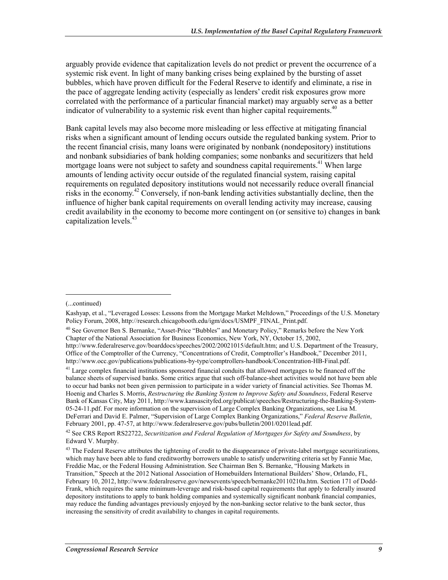arguably provide evidence that capitalization levels do not predict or prevent the occurrence of a systemic risk event. In light of many banking crises being explained by the bursting of asset bubbles, which have proven difficult for the Federal Reserve to identify and eliminate, a rise in the pace of aggregate lending activity (especially as lenders' credit risk exposures grow more correlated with the performance of a particular financial market) may arguably serve as a better indicator of vulnerability to a systemic risk event than higher capital requirements.<sup>40</sup>

Bank capital levels may also become more misleading or less effective at mitigating financial risks when a significant amount of lending occurs outside the regulated banking system. Prior to the recent financial crisis, many loans were originated by nonbank (nondepository) institutions and nonbank subsidiaries of bank holding companies; some nonbanks and securitizers that held mortgage loans were not subject to safety and soundness capital requirements.<sup>41</sup> When large amounts of lending activity occur outside of the regulated financial system, raising capital requirements on regulated depository institutions would not necessarily reduce overall financial risks in the economy.<sup>42</sup> Conversely, if non-bank lending activities substantially decline, then the influence of higher bank capital requirements on overall lending activity may increase, causing credit availability in the economy to become more contingent on (or sensitive to) changes in bank capitalization levels.43

<sup>(...</sup>continued)

Kashyap, et al., "Leveraged Losses: Lessons from the Mortgage Market Meltdown," Proceedings of the U.S. Monetary Policy Forum, 2008, http://research.chicagobooth.edu/igm/docs/USMPF\_FINAL\_Print.pdf.

<sup>40</sup> See Governor Ben S. Bernanke, "Asset-Price "Bubbles" and Monetary Policy," Remarks before the New York Chapter of the National Association for Business Economics, New York, NY, October 15, 2002, http://www.federalreserve.gov/boarddocs/speeches/2002/20021015/default.htm; and U.S. Department of the Treasury, Office of the Comptroller of the Currency, "Concentrations of Credit, Comptroller's Handbook," December 2011, http://www.occ.gov/publications/publications-by-type/comptrollers-handbook/Concentration-HB-Final.pdf.

<sup>&</sup>lt;sup>41</sup> Large complex financial institutions sponsored financial conduits that allowed mortgages to be financed off the balance sheets of supervised banks. Some critics argue that such off-balance-sheet activities would not have been able to occur had banks not been given permission to participate in a wider variety of financial activities. See Thomas M. Hoenig and Charles S. Morris, *Restructuring the Banking System to Improve Safety and Soundness*, Federal Reserve Bank of Kansas City, May 2011, http://www.kansascityfed.org/publicat/speeches/Restructuring-the-Banking-System-05-24-11.pdf. For more information on the supervision of Large Complex Banking Organizations, see Lisa M. DeFerrari and David E. Palmer, "Supervision of Large Complex Banking Organizations," *Federal Reserve Bulletin*, February 2001, pp. 47-57, at http://www.federalreserve.gov/pubs/bulletin/2001/0201lead.pdf.

<sup>42</sup> See CRS Report RS22722, *Securitization and Federal Regulation of Mortgages for Safety and Soundness*, by Edward V. Murphy.

<sup>&</sup>lt;sup>43</sup> The Federal Reserve attributes the tightening of credit to the disappearance of private-label mortgage securitizations, which may have been able to fund creditworthy borrowers unable to satisfy underwriting criteria set by Fannie Mae, Freddie Mac, or the Federal Housing Administration. See Chairman Ben S. Bernanke, "Housing Markets in Transition," Speech at the 2012 National Association of Homebuilders International Builders' Show, Orlando, FL, February 10, 2012, http://www.federalreserve.gov/newsevents/speech/bernanke20110210a.htm. Section 171 of Dodd-Frank, which requires the same minimum-leverage and risk-based capital requirements that apply to federally insured depository institutions to apply to bank holding companies and systemically significant nonbank financial companies, may reduce the funding advantages previously enjoyed by the non-banking sector relative to the bank sector, thus increasing the sensitivity of credit availability to changes in capital requirements.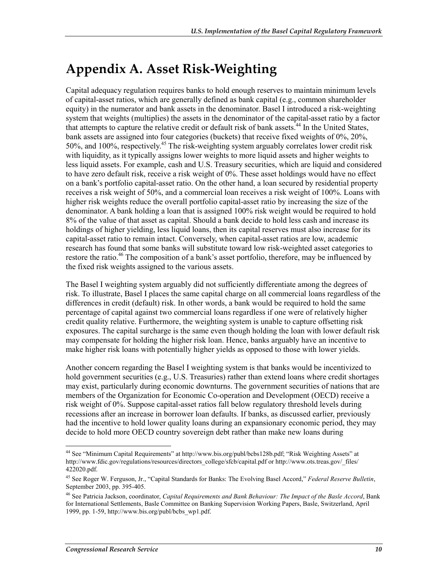## **Appendix A. Asset Risk-Weighting**

Capital adequacy regulation requires banks to hold enough reserves to maintain minimum levels of capital-asset ratios, which are generally defined as bank capital (e.g., common shareholder equity) in the numerator and bank assets in the denominator. Basel I introduced a risk-weighting system that weights (multiplies) the assets in the denominator of the capital-asset ratio by a factor that attempts to capture the relative credit or default risk of bank assets.<sup>44</sup> In the United States, bank assets are assigned into four categories (buckets) that receive fixed weights of 0%, 20%,  $50\%$ , and  $100\%$ , respectively.<sup>45</sup> The risk-weighting system arguably correlates lower credit risk with liquidity, as it typically assigns lower weights to more liquid assets and higher weights to less liquid assets. For example, cash and U.S. Treasury securities, which are liquid and considered to have zero default risk, receive a risk weight of 0%. These asset holdings would have no effect on a bank's portfolio capital-asset ratio. On the other hand, a loan secured by residential property receives a risk weight of 50%, and a commercial loan receives a risk weight of 100%. Loans with higher risk weights reduce the overall portfolio capital-asset ratio by increasing the size of the denominator. A bank holding a loan that is assigned 100% risk weight would be required to hold 8% of the value of that asset as capital. Should a bank decide to hold less cash and increase its holdings of higher yielding, less liquid loans, then its capital reserves must also increase for its capital-asset ratio to remain intact. Conversely, when capital-asset ratios are low, academic research has found that some banks will substitute toward low risk-weighted asset categories to restore the ratio.<sup>46</sup> The composition of a bank's asset portfolio, therefore, may be influenced by the fixed risk weights assigned to the various assets.

The Basel I weighting system arguably did not sufficiently differentiate among the degrees of risk. To illustrate, Basel I places the same capital charge on all commercial loans regardless of the differences in credit (default) risk. In other words, a bank would be required to hold the same percentage of capital against two commercial loans regardless if one were of relatively higher credit quality relative. Furthermore, the weighting system is unable to capture offsetting risk exposures. The capital surcharge is the same even though holding the loan with lower default risk may compensate for holding the higher risk loan. Hence, banks arguably have an incentive to make higher risk loans with potentially higher yields as opposed to those with lower yields.

Another concern regarding the Basel I weighting system is that banks would be incentivized to hold government securities (e.g., U.S. Treasuries) rather than extend loans where credit shortages may exist, particularly during economic downturns. The government securities of nations that are members of the Organization for Economic Co-operation and Development (OECD) receive a risk weight of 0%. Suppose capital-asset ratios fall below regulatory threshold levels during recessions after an increase in borrower loan defaults. If banks, as discussed earlier, previously had the incentive to hold lower quality loans during an expansionary economic period, they may decide to hold more OECD country sovereign debt rather than make new loans during

<sup>&</sup>lt;sup>44</sup> See "Minimum Capital Requirements" at http://www.bis.org/publ/bcbs128b.pdf; "Risk Weighting Assets" at http://www.fdic.gov/regulations/resources/directors\_college/sfcb/capital.pdf or http://www.ots.treas.gov/\_files/ 422020.pdf.

<sup>45</sup> See Roger W. Ferguson, Jr., "Capital Standards for Banks: The Evolving Basel Accord," *Federal Reserve Bulletin*, September 2003, pp. 395-405.

<sup>46</sup> See Patricia Jackson, coordinator, *Capital Requirements and Bank Behaviour: The Impact of the Basle Accord*, Bank for International Settlements, Basle Committee on Banking Supervision Working Papers, Basle, Switzerland, April 1999, pp. 1-59, http://www.bis.org/publ/bcbs\_wp1.pdf.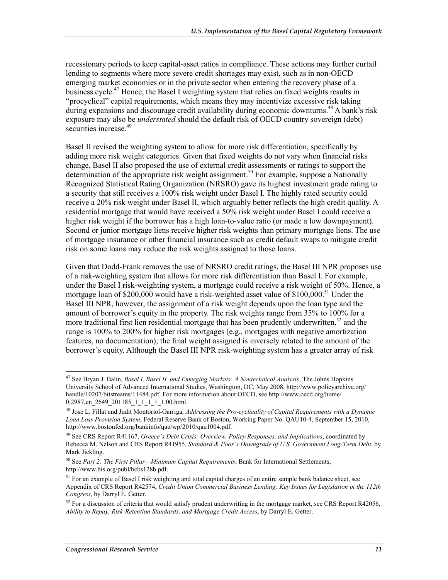recessionary periods to keep capital-asset ratios in compliance. These actions may further curtail lending to segments where more severe credit shortages may exist, such as in non-OECD emerging market economies or in the private sector when entering the recovery phase of a business cycle.<sup>47</sup> Hence, the Basel I weighting system that relies on fixed weights results in "procyclical" capital requirements, which means they may incentivize excessive risk taking during expansions and discourage credit availability during economic downturns.<sup>48</sup> A bank's risk exposure may also be *understated* should the default risk of OECD country sovereign (debt) securities increase.<sup>49</sup>

Basel II revised the weighting system to allow for more risk differentiation, specifically by adding more risk weight categories. Given that fixed weights do not vary when financial risks change, Basel II also proposed the use of external credit assessments or ratings to support the determination of the appropriate risk weight assignment.<sup>50</sup> For example, suppose a Nationally Recognized Statistical Rating Organization (NRSRO) gave its highest investment grade rating to a security that still receives a 100% risk weight under Basel I. The highly rated security could receive a 20% risk weight under Basel II, which arguably better reflects the high credit quality. A residential mortgage that would have received a 50% risk weight under Basel I could receive a higher risk weight if the borrower has a high loan-to-value ratio (or made a low downpayment). Second or junior mortgage liens receive higher risk weights than primary mortgage liens. The use of mortgage insurance or other financial insurance such as credit default swaps to mitigate credit risk on some loans may reduce the risk weights assigned to those loans.

Given that Dodd-Frank removes the use of NRSRO credit ratings, the Basel III NPR proposes use of a risk-weighting system that allows for more risk differentiation than Basel I. For example, under the Basel I risk-weighting system, a mortgage could receive a risk weight of 50%. Hence, a mortgage loan of \$200,000 would have a risk-weighted asset value of  $$100,000$ .<sup>51</sup> Under the Basel III NPR, however, the assignment of a risk weight depends upon the loan type and the amount of borrower's equity in the property. The risk weights range from 35% to 100% for a more traditional first lien residential mortgage that has been prudently underwritten,<sup>52</sup> and the range is 100% to 200% for higher risk mortgages (e.g., mortgages with negative amortization features, no documentation); the final weight assigned is inversely related to the amount of the borrower's equity. Although the Basel III NPR risk-weighting system has a greater array of risk

<sup>47</sup> See Bryan J. Balin, *Basel I, Basel II, and Emerging Markets: A Nontechnical Analysis*, The Johns Hopkins University School of Advanced International Studies, Washington, DC, May 2008, http://www.policyarchive.org/ handle/10207/bitstreams/11484.pdf. For more information about OECD, see http://www.oecd.org/home/ 0,2987,en\_2649\_201185\_1\_1\_1\_1\_1,00.html.

<sup>48</sup> Jose L. Fillat and Judit Montoriol-Garriga, *Addressing the Pro-cyclicality of Capital Requirements with a Dynamic Loan Loss Provision System*, Federal Reserve Bank of Boston, Working Paper No. QAU10-4, September 15, 2010, http://www.bostonfed.org/bankinfo/qau/wp/2010/qau1004.pdf.

<sup>49</sup> See CRS Report R41167, *Greece's Debt Crisis: Overview, Policy Responses, and Implications*, coordinated by Rebecca M. Nelson and CRS Report R41955, *Standard & Poor's Downgrade of U.S. Government Long-Term Debt*, by Mark Jickling.

<sup>50</sup> See *Part 2: The First Pillar—Minimum Capital Requirements*, Bank for International Settlements, http://www.bis.org/publ/bcbs128b.pdf.

 $<sup>51</sup>$  For an example of Basel I risk weighting and total capital charges of an entire sample bank balance sheet, see</sup> Appendix of CRS Report R42574, *Credit Union Commercial Business Lending: Key Issues for Legislation in the 112th Congress*, by Darryl E. Getter.

 $52$  For a discussion of criteria that would satisfy prudent underwriting in the mortgage market, see CRS Report R42056, *Ability to Repay, Risk-Retention Standards, and Mortgage Credit Access*, by Darryl E. Getter.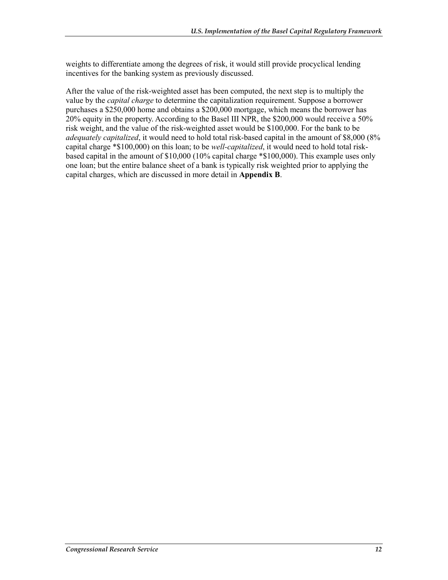weights to differentiate among the degrees of risk, it would still provide procyclical lending incentives for the banking system as previously discussed.

After the value of the risk-weighted asset has been computed, the next step is to multiply the value by the *capital charge* to determine the capitalization requirement. Suppose a borrower purchases a \$250,000 home and obtains a \$200,000 mortgage, which means the borrower has 20% equity in the property. According to the Basel III NPR, the \$200,000 would receive a 50% risk weight, and the value of the risk-weighted asset would be \$100,000. For the bank to be *adequately capitalized*, it would need to hold total risk-based capital in the amount of \$8,000 (8% capital charge \*\$100,000) on this loan; to be *well-capitalized*, it would need to hold total riskbased capital in the amount of \$10,000 (10% capital charge \*\$100,000). This example uses only one loan; but the entire balance sheet of a bank is typically risk weighted prior to applying the capital charges, which are discussed in more detail in **Appendix B**.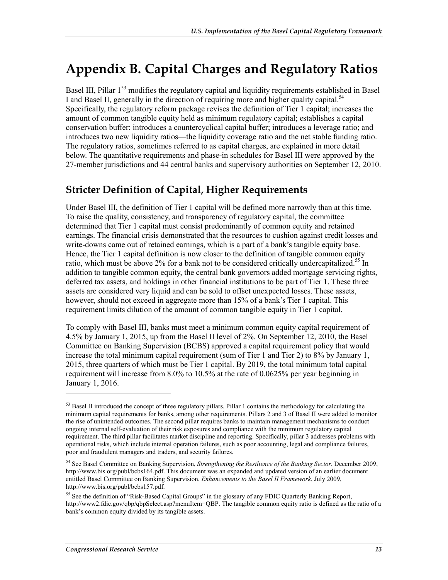## **Appendix B. Capital Charges and Regulatory Ratios**

Basel III, Pillar  $1<sup>53</sup>$  modifies the regulatory capital and liquidity requirements established in Basel I and Basel II, generally in the direction of requiring more and higher quality capital.<sup>54</sup> Specifically, the regulatory reform package revises the definition of Tier 1 capital; increases the amount of common tangible equity held as minimum regulatory capital; establishes a capital conservation buffer; introduces a countercyclical capital buffer; introduces a leverage ratio; and introduces two new liquidity ratios—the liquidity coverage ratio and the net stable funding ratio. The regulatory ratios, sometimes referred to as capital charges, are explained in more detail below. The quantitative requirements and phase-in schedules for Basel III were approved by the 27-member jurisdictions and 44 central banks and supervisory authorities on September 12, 2010.

### **Stricter Definition of Capital, Higher Requirements**

Under Basel III, the definition of Tier 1 capital will be defined more narrowly than at this time. To raise the quality, consistency, and transparency of regulatory capital, the committee determined that Tier 1 capital must consist predominantly of common equity and retained earnings. The financial crisis demonstrated that the resources to cushion against credit losses and write-downs came out of retained earnings, which is a part of a bank's tangible equity base. Hence, the Tier 1 capital definition is now closer to the definition of tangible common equity ratio, which must be above 2% for a bank not to be considered critically undercapitalized.<sup>55</sup> In addition to tangible common equity, the central bank governors added mortgage servicing rights, deferred tax assets, and holdings in other financial institutions to be part of Tier 1. These three assets are considered very liquid and can be sold to offset unexpected losses. These assets, however, should not exceed in aggregate more than 15% of a bank's Tier 1 capital. This requirement limits dilution of the amount of common tangible equity in Tier 1 capital.

To comply with Basel III, banks must meet a minimum common equity capital requirement of 4.5% by January 1, 2015, up from the Basel II level of 2%. On September 12, 2010, the Basel Committee on Banking Supervision (BCBS) approved a capital requirement policy that would increase the total minimum capital requirement (sum of Tier 1 and Tier 2) to 8% by January 1, 2015, three quarters of which must be Tier 1 capital. By 2019, the total minimum total capital requirement will increase from 8.0% to 10.5% at the rate of 0.0625% per year beginning in January 1, 2016.

<u>.</u>

<sup>&</sup>lt;sup>53</sup> Basel II introduced the concept of three regulatory pillars. Pillar 1 contains the methodology for calculating the minimum capital requirements for banks, among other requirements. Pillars 2 and 3 of Basel II were added to monitor the rise of unintended outcomes. The second pillar requires banks to maintain management mechanisms to conduct ongoing internal self-evaluation of their risk exposures and compliance with the minimum regulatory capital requirement. The third pillar facilitates market discipline and reporting. Specifically, pillar 3 addresses problems with operational risks, which include internal operation failures, such as poor accounting, legal and compliance failures, poor and fraudulent managers and traders, and security failures.

<sup>54</sup> See Basel Committee on Banking Supervision, *Strengthening the Resilience of the Banking Sector*, December 2009, http://www.bis.org/publ/bcbs164.pdf. This document was an expanded and updated version of an earlier document entitled Basel Committee on Banking Supervision, *Enhancements to the Basel II Framework*, July 2009, http://www.bis.org/publ/bcbs157.pdf.

<sup>&</sup>lt;sup>55</sup> See the definition of "Risk-Based Capital Groups" in the glossary of any FDIC Quarterly Banking Report, http://www2.fdic.gov/qbp/qbpSelect.asp?menuItem=QBP. The tangible common equity ratio is defined as the ratio of a bank's common equity divided by its tangible assets.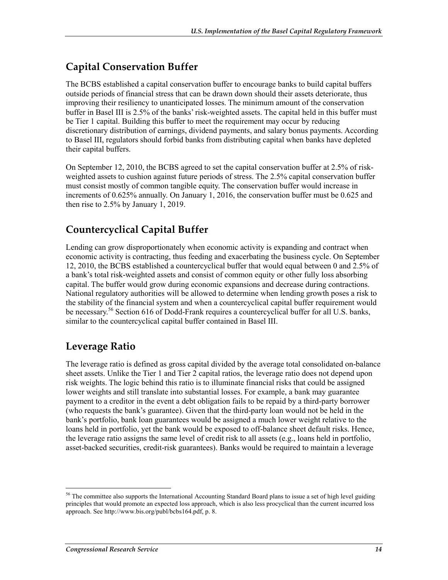### **Capital Conservation Buffer**

The BCBS established a capital conservation buffer to encourage banks to build capital buffers outside periods of financial stress that can be drawn down should their assets deteriorate, thus improving their resiliency to unanticipated losses. The minimum amount of the conservation buffer in Basel III is 2.5% of the banks' risk-weighted assets. The capital held in this buffer must be Tier 1 capital. Building this buffer to meet the requirement may occur by reducing discretionary distribution of earnings, dividend payments, and salary bonus payments. According to Basel III, regulators should forbid banks from distributing capital when banks have depleted their capital buffers.

On September 12, 2010, the BCBS agreed to set the capital conservation buffer at 2.5% of riskweighted assets to cushion against future periods of stress. The 2.5% capital conservation buffer must consist mostly of common tangible equity. The conservation buffer would increase in increments of 0.625% annually. On January 1, 2016, the conservation buffer must be 0.625 and then rise to 2.5% by January 1, 2019.

### **Countercyclical Capital Buffer**

Lending can grow disproportionately when economic activity is expanding and contract when economic activity is contracting, thus feeding and exacerbating the business cycle. On September 12, 2010, the BCBS established a countercyclical buffer that would equal between 0 and 2.5% of a bank's total risk-weighted assets and consist of common equity or other fully loss absorbing capital. The buffer would grow during economic expansions and decrease during contractions. National regulatory authorities will be allowed to determine when lending growth poses a risk to the stability of the financial system and when a countercyclical capital buffer requirement would be necessary.<sup>56</sup> Section 616 of Dodd-Frank requires a countercyclical buffer for all U.S. banks, similar to the countercyclical capital buffer contained in Basel III.

#### **Leverage Ratio**

The leverage ratio is defined as gross capital divided by the average total consolidated on-balance sheet assets. Unlike the Tier 1 and Tier 2 capital ratios, the leverage ratio does not depend upon risk weights. The logic behind this ratio is to illuminate financial risks that could be assigned lower weights and still translate into substantial losses. For example, a bank may guarantee payment to a creditor in the event a debt obligation fails to be repaid by a third-party borrower (who requests the bank's guarantee). Given that the third-party loan would not be held in the bank's portfolio, bank loan guarantees would be assigned a much lower weight relative to the loans held in portfolio, yet the bank would be exposed to off-balance sheet default risks. Hence, the leverage ratio assigns the same level of credit risk to all assets (e.g., loans held in portfolio, asset-backed securities, credit-risk guarantees). Banks would be required to maintain a leverage

<sup>&</sup>lt;sup>56</sup> The committee also supports the International Accounting Standard Board plans to issue a set of high level guiding principles that would promote an expected loss approach, which is also less procyclical than the current incurred loss approach. See http://www.bis.org/publ/bcbs164.pdf, p. 8.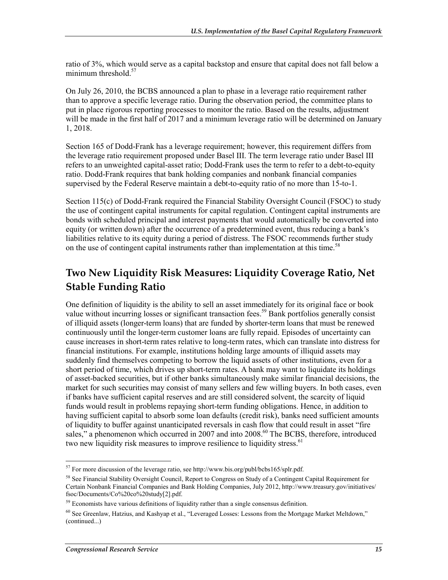ratio of 3%, which would serve as a capital backstop and ensure that capital does not fall below a minimum threshold. $57$ 

On July 26, 2010, the BCBS announced a plan to phase in a leverage ratio requirement rather than to approve a specific leverage ratio. During the observation period, the committee plans to put in place rigorous reporting processes to monitor the ratio. Based on the results, adjustment will be made in the first half of 2017 and a minimum leverage ratio will be determined on January 1, 2018.

Section 165 of Dodd-Frank has a leverage requirement; however, this requirement differs from the leverage ratio requirement proposed under Basel III. The term leverage ratio under Basel III refers to an unweighted capital-asset ratio; Dodd-Frank uses the term to refer to a debt-to-equity ratio. Dodd-Frank requires that bank holding companies and nonbank financial companies supervised by the Federal Reserve maintain a debt-to-equity ratio of no more than 15-to-1.

Section 115(c) of Dodd-Frank required the Financial Stability Oversight Council (FSOC) to study the use of contingent capital instruments for capital regulation. Contingent capital instruments are bonds with scheduled principal and interest payments that would automatically be converted into equity (or written down) after the occurrence of a predetermined event, thus reducing a bank's liabilities relative to its equity during a period of distress. The FSOC recommends further study on the use of contingent capital instruments rather than implementation at this time.<sup>58</sup>

### **Two New Liquidity Risk Measures: Liquidity Coverage Ratio, Net Stable Funding Ratio**

One definition of liquidity is the ability to sell an asset immediately for its original face or book value without incurring losses or significant transaction fees.<sup>59</sup> Bank portfolios generally consist of illiquid assets (longer-term loans) that are funded by shorter-term loans that must be renewed continuously until the longer-term customer loans are fully repaid. Episodes of uncertainty can cause increases in short-term rates relative to long-term rates, which can translate into distress for financial institutions. For example, institutions holding large amounts of illiquid assets may suddenly find themselves competing to borrow the liquid assets of other institutions, even for a short period of time, which drives up short-term rates. A bank may want to liquidate its holdings of asset-backed securities, but if other banks simultaneously make similar financial decisions, the market for such securities may consist of many sellers and few willing buyers. In both cases, even if banks have sufficient capital reserves and are still considered solvent, the scarcity of liquid funds would result in problems repaying short-term funding obligations. Hence, in addition to having sufficient capital to absorb some loan defaults (credit risk), banks need sufficient amounts of liquidity to buffer against unanticipated reversals in cash flow that could result in asset "fire sales," a phenomenon which occurred in 2007 and into 2008.<sup>60</sup> The BCBS, therefore, introduced two new liquidity risk measures to improve resilience to liquidity stress.<sup>61</sup>

 $57$  For more discussion of the leverage ratio, see http://www.bis.org/publ/bcbs165/splr.pdf.

<sup>&</sup>lt;sup>58</sup> See Financial Stability Oversight Council, Report to Congress on Study of a Contingent Capital Requirement for Certain Nonbank Financial Companies and Bank Holding Companies, July 2012, http://www.treasury.gov/initiatives/ fsoc/Documents/Co%20co%20study[2].pdf.

 $59$  Economists have various definitions of liquidity rather than a single consensus definition.

 $60$  See Greenlaw, Hatzius, and Kashyap et al., "Leveraged Losses: Lessons from the Mortgage Market Meltdown," (continued...)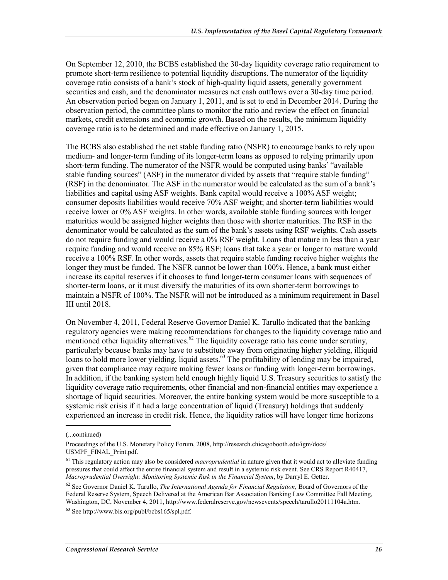On September 12, 2010, the BCBS established the 30-day liquidity coverage ratio requirement to promote short-term resilience to potential liquidity disruptions. The numerator of the liquidity coverage ratio consists of a bank's stock of high-quality liquid assets, generally government securities and cash, and the denominator measures net cash outflows over a 30-day time period. An observation period began on January 1, 2011, and is set to end in December 2014. During the observation period, the committee plans to monitor the ratio and review the effect on financial markets, credit extensions and economic growth. Based on the results, the minimum liquidity coverage ratio is to be determined and made effective on January 1, 2015.

The BCBS also established the net stable funding ratio (NSFR) to encourage banks to rely upon medium- and longer-term funding of its longer-term loans as opposed to relying primarily upon short-term funding. The numerator of the NSFR would be computed using banks' "available stable funding sources" (ASF) in the numerator divided by assets that "require stable funding" (RSF) in the denominator. The ASF in the numerator would be calculated as the sum of a bank's liabilities and capital using ASF weights. Bank capital would receive a 100% ASF weight; consumer deposits liabilities would receive 70% ASF weight; and shorter-term liabilities would receive lower or 0% ASF weights. In other words, available stable funding sources with longer maturities would be assigned higher weights than those with shorter maturities. The RSF in the denominator would be calculated as the sum of the bank's assets using RSF weights. Cash assets do not require funding and would receive a 0% RSF weight. Loans that mature in less than a year require funding and would receive an 85% RSF; loans that take a year or longer to mature would receive a 100% RSF. In other words, assets that require stable funding receive higher weights the longer they must be funded. The NSFR cannot be lower than 100%. Hence, a bank must either increase its capital reserves if it chooses to fund longer-term consumer loans with sequences of shorter-term loans, or it must diversify the maturities of its own shorter-term borrowings to maintain a NSFR of 100%. The NSFR will not be introduced as a minimum requirement in Basel III until 2018.

On November 4, 2011, Federal Reserve Governor Daniel K. Tarullo indicated that the banking regulatory agencies were making recommendations for changes to the liquidity coverage ratio and mentioned other liquidity alternatives.<sup>62</sup> The liquidity coverage ratio has come under scrutiny, particularly because banks may have to substitute away from originating higher yielding, illiquid loans to hold more lower yielding, liquid assets.<sup>63</sup> The profitability of lending may be impaired, given that compliance may require making fewer loans or funding with longer-term borrowings. In addition, if the banking system held enough highly liquid U.S. Treasury securities to satisfy the liquidity coverage ratio requirements, other financial and non-financial entities may experience a shortage of liquid securities. Moreover, the entire banking system would be more susceptible to a systemic risk crisis if it had a large concentration of liquid (Treasury) holdings that suddenly experienced an increase in credit risk. Hence, the liquidity ratios will have longer time horizons

<sup>(...</sup>continued)

Proceedings of the U.S. Monetary Policy Forum, 2008, http://research.chicagobooth.edu/igm/docs/ USMPF\_FINAL\_Print.pdf.

<sup>61</sup> This regulatory action may also be considered *macroprudential* in nature given that it would act to alleviate funding pressures that could affect the entire financial system and result in a systemic risk event. See CRS Report R40417, *Macroprudential Oversight: Monitoring Systemic Risk in the Financial System*, by Darryl E. Getter.

<sup>62</sup> See Governor Daniel K. Tarullo, *The International Agenda for Financial Regulation*, Board of Governors of the Federal Reserve System, Speech Delivered at the American Bar Association Banking Law Committee Fall Meeting, Washington, DC, November 4, 2011, http://www.federalreserve.gov/newsevents/speech/tarullo20111104a.htm.

<sup>63</sup> See http://www.bis.org/publ/bcbs165/spl.pdf.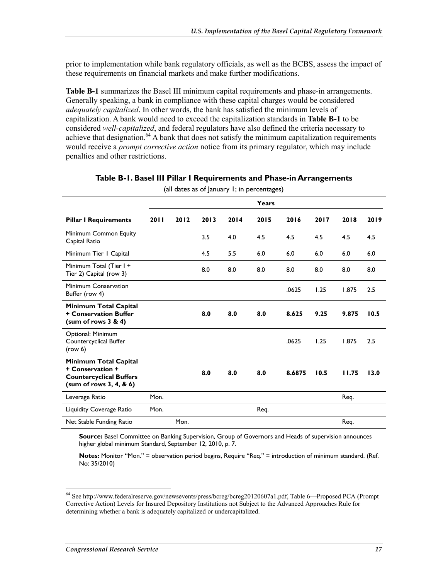prior to implementation while bank regulatory officials, as well as the BCBS, assess the impact of these requirements on financial markets and make further modifications.

**Table B-1** summarizes the Basel III minimum capital requirements and phase-in arrangements. Generally speaking, a bank in compliance with these capital charges would be considered *adequately capitalized*. In other words, the bank has satisfied the minimum levels of capitalization. A bank would need to exceed the capitalization standards in **Table B-1** to be considered *well-capitalized*, and federal regulators have also defined the criteria necessary to achieve that designation.<sup>64</sup> A bank that does not satisfy the minimum capitalization requirements would receive a *prompt corrective action* notice from its primary regulator, which may include penalties and other restrictions.

|                                                                                                         |      |      |      |      | Years |        |      |       |      |
|---------------------------------------------------------------------------------------------------------|------|------|------|------|-------|--------|------|-------|------|
| <b>Pillar I Requirements</b>                                                                            | 2011 | 2012 | 2013 | 2014 | 2015  | 2016   | 2017 | 2018  | 2019 |
| Minimum Common Equity<br>Capital Ratio                                                                  |      |      | 3.5  | 4.0  | 4.5   | 4.5    | 4.5  | 4.5   | 4.5  |
| Minimum Tier   Capital                                                                                  |      |      | 4.5  | 5.5  | 6.0   | 6.0    | 6.0  | 6.0   | 6.0  |
| Minimum Total (Tier I +<br>Tier 2) Capital (row 3)                                                      |      |      | 8.0  | 8.0  | 8.0   | 8.0    | 8.0  | 8.0   | 8.0  |
| Minimum Conservation<br>Buffer (row 4)                                                                  |      |      |      |      |       | .0625  | 1.25 | 1.875 | 2.5  |
| Minimum Total Capital<br><b>+ Conservation Buffer</b><br>(sum of rows 3 & 4)                            |      |      | 8.0  | 8.0  | 8.0   | 8.625  | 9.25 | 9.875 | 10.5 |
| Optional: Minimum<br>Countercyclical Buffer<br>(row 6)                                                  |      |      |      |      |       | .0625  | 1.25 | 1.875 | 2.5  |
| Minimum Total Capital<br>+ Conservation +<br><b>Countercyclical Buffers</b><br>(sum of rows 3, 4, 8, 6) |      |      | 8.0  | 8.0  | 8.0   | 8.6875 | 10.5 | 11.75 | 13.0 |
| Leverage Ratio                                                                                          | Mon. |      |      |      |       |        |      | Req.  |      |
| Liquidity Coverage Ratio                                                                                | Mon. |      |      |      | Req.  |        |      |       |      |
| Net Stable Funding Ratio                                                                                |      | Mon. |      |      |       |        |      | Req.  |      |

#### **Table B-1. Basel III Pillar I Requirements and Phase-in Arrangements**

(all dates as of January 1; in percentages)

**Source:** Basel Committee on Banking Supervision, Group of Governors and Heads of supervision announces higher global minimum Standard, September 12, 2010, p. 7.

**Notes:** Monitor "Mon." = observation period begins, Require "Req." = introduction of minimum standard. (Ref. No: 35/2010)

<sup>64</sup> See http://www.federalreserve.gov/newsevents/press/bcreg/bcreg20120607a1.pdf, Table 6—Proposed PCA (Prompt Corrective Action) Levels for Insured Depository Institutions not Subject to the Advanced Approaches Rule for determining whether a bank is adequately capitalized or undercapitalized.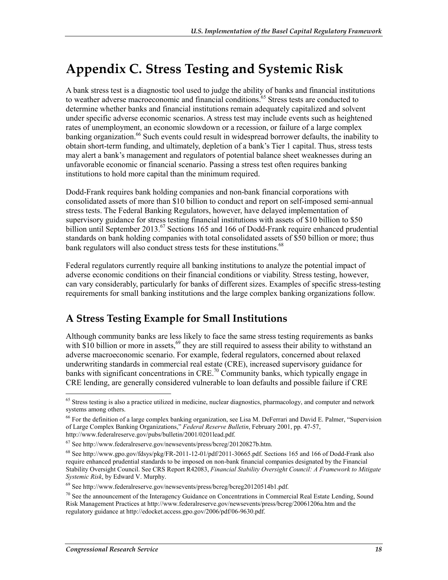### **Appendix C. Stress Testing and Systemic Risk**

A bank stress test is a diagnostic tool used to judge the ability of banks and financial institutions to weather adverse macroeconomic and financial conditions.<sup>65</sup> Stress tests are conducted to determine whether banks and financial institutions remain adequately capitalized and solvent under specific adverse economic scenarios. A stress test may include events such as heightened rates of unemployment, an economic slowdown or a recession, or failure of a large complex banking organization.<sup>66</sup> Such events could result in widespread borrower defaults, the inability to obtain short-term funding, and ultimately, depletion of a bank's Tier 1 capital. Thus, stress tests may alert a bank's management and regulators of potential balance sheet weaknesses during an unfavorable economic or financial scenario. Passing a stress test often requires banking institutions to hold more capital than the minimum required.

Dodd-Frank requires bank holding companies and non-bank financial corporations with consolidated assets of more than \$10 billion to conduct and report on self-imposed semi-annual stress tests. The Federal Banking Regulators, however, have delayed implementation of supervisory guidance for stress testing financial institutions with assets of \$10 billion to \$50 billion until September 2013.<sup>67</sup> Sections 165 and 166 of Dodd-Frank require enhanced prudential standards on bank holding companies with total consolidated assets of \$50 billion or more; thus bank regulators will also conduct stress tests for these institutions.<sup>68</sup>

Federal regulators currently require all banking institutions to analyze the potential impact of adverse economic conditions on their financial conditions or viability. Stress testing, however, can vary considerably, particularly for banks of different sizes. Examples of specific stress-testing requirements for small banking institutions and the large complex banking organizations follow.

### **A Stress Testing Example for Small Institutions**

Although community banks are less likely to face the same stress testing requirements as banks with \$10 billion or more in assets, $69$  they are still required to assess their ability to withstand an adverse macroeconomic scenario. For example, federal regulators, concerned about relaxed underwriting standards in commercial real estate (CRE), increased supervisory guidance for banks with significant concentrations in CRE.<sup>70</sup> Community banks, which typically engage in CRE lending, are generally considered vulnerable to loan defaults and possible failure if CRE

<u>.</u>

<sup>&</sup>lt;sup>65</sup> Stress testing is also a practice utilized in medicine, nuclear diagnostics, pharmacology, and computer and network systems among others.

<sup>&</sup>lt;sup>66</sup> For the definition of a large complex banking organization, see Lisa M. DeFerrari and David E. Palmer, "Supervision of Large Complex Banking Organizations," *Federal Reserve Bulletin*, February 2001, pp. 47-57, http://www.federalreserve.gov/pubs/bulletin/2001/0201lead.pdf.

<sup>67</sup> See http://www.federalreserve.gov/newsevents/press/bcreg/20120827b.htm.

<sup>68</sup> See http://www.gpo.gov/fdsys/pkg/FR-2011-12-01/pdf/2011-30665.pdf. Sections 165 and 166 of Dodd-Frank also require enhanced prudential standards to be imposed on non-bank financial companies designated by the Financial Stability Oversight Council. See CRS Report R42083, *Financial Stability Oversight Council: A Framework to Mitigate Systemic Risk*, by Edward V. Murphy.

<sup>69</sup> See http://www.federalreserve.gov/newsevents/press/bcreg/bcreg20120514b1.pdf.

<sup>&</sup>lt;sup>70</sup> See the announcement of the Interagency Guidance on Concentrations in Commercial Real Estate Lending, Sound Risk Management Practices at http://www.federalreserve.gov/newsevents/press/bcreg/20061206a.htm and the regulatory guidance at http://edocket.access.gpo.gov/2006/pdf/06-9630.pdf.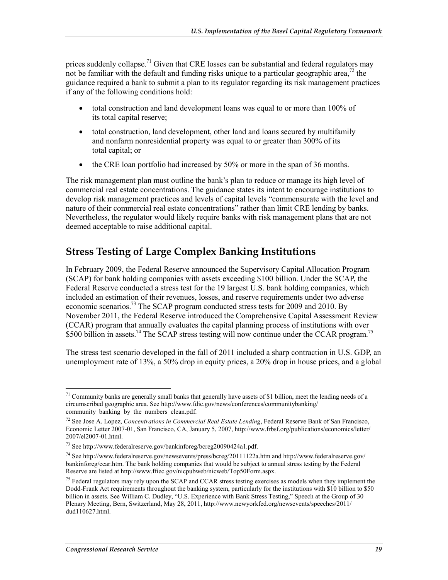prices suddenly collapse.<sup>71</sup> Given that CRE losses can be substantial and federal regulators may not be familiar with the default and funding risks unique to a particular geographic area,<sup>72</sup> the guidance required a bank to submit a plan to its regulator regarding its risk management practices if any of the following conditions hold:

- total construction and land development loans was equal to or more than 100% of its total capital reserve;
- total construction, land development, other land and loans secured by multifamily and nonfarm nonresidential property was equal to or greater than 300% of its total capital; or
- the CRE loan portfolio had increased by 50% or more in the span of 36 months.

The risk management plan must outline the bank's plan to reduce or manage its high level of commercial real estate concentrations. The guidance states its intent to encourage institutions to develop risk management practices and levels of capital levels "commensurate with the level and nature of their commercial real estate concentrations" rather than limit CRE lending by banks. Nevertheless, the regulator would likely require banks with risk management plans that are not deemed acceptable to raise additional capital.

#### **Stress Testing of Large Complex Banking Institutions**

In February 2009, the Federal Reserve announced the Supervisory Capital Allocation Program (SCAP) for bank holding companies with assets exceeding \$100 billion. Under the SCAP, the Federal Reserve conducted a stress test for the 19 largest U.S. bank holding companies, which included an estimation of their revenues, losses, and reserve requirements under two adverse economic scenarios.<sup>73</sup> The SCAP program conducted stress tests for 2009 and 2010. By November 2011, the Federal Reserve introduced the Comprehensive Capital Assessment Review (CCAR) program that annually evaluates the capital planning process of institutions with over \$500 billion in assets.<sup>74</sup> The SCAP stress testing will now continue under the CCAR program.<sup>75</sup>

The stress test scenario developed in the fall of 2011 included a sharp contraction in U.S. GDP, an unemployment rate of 13%, a 50% drop in equity prices, a 20% drop in house prices, and a global

<sup>1</sup> <sup>71</sup> Community banks are generally small banks that generally have assets of \$1 billion, meet the lending needs of a circumscribed geographic area. See http://www.fdic.gov/news/conferences/communitybanking/ community\_banking\_by\_the\_numbers\_clean.pdf.

<sup>72</sup> See Jose A. Lopez, *Concentrations in Commercial Real Estate Lending*, Federal Reserve Bank of San Francisco, Economic Letter 2007-01, San Francisco, CA, January 5, 2007, http://www.frbsf.org/publications/economics/letter/ 2007/el2007-01.html.

<sup>73</sup> See http://www.federalreserve.gov/bankinforeg/bcreg20090424a1.pdf.

<sup>74</sup> See http://www.federalreserve.gov/newsevents/press/bcreg/20111122a.htm and http://www.federalreserve.gov/ bankinforeg/ccar.htm. The bank holding companies that would be subject to annual stress testing by the Federal Reserve are listed at http://www.ffiec.gov/nicpubweb/nicweb/Top50Form.aspx.

 $<sup>75</sup>$  Federal regulators may rely upon the SCAP and CCAR stress testing exercises as models when they implement the</sup> Dodd-Frank Act requirements throughout the banking system, particularly for the institutions with \$10 billion to \$50 billion in assets. See William C. Dudley, "U.S. Experience with Bank Stress Testing," Speech at the Group of 30 Plenary Meeting, Bern, Switzerland, May 28, 2011, http://www.newyorkfed.org/newsevents/speeches/2011/ dud110627.html.